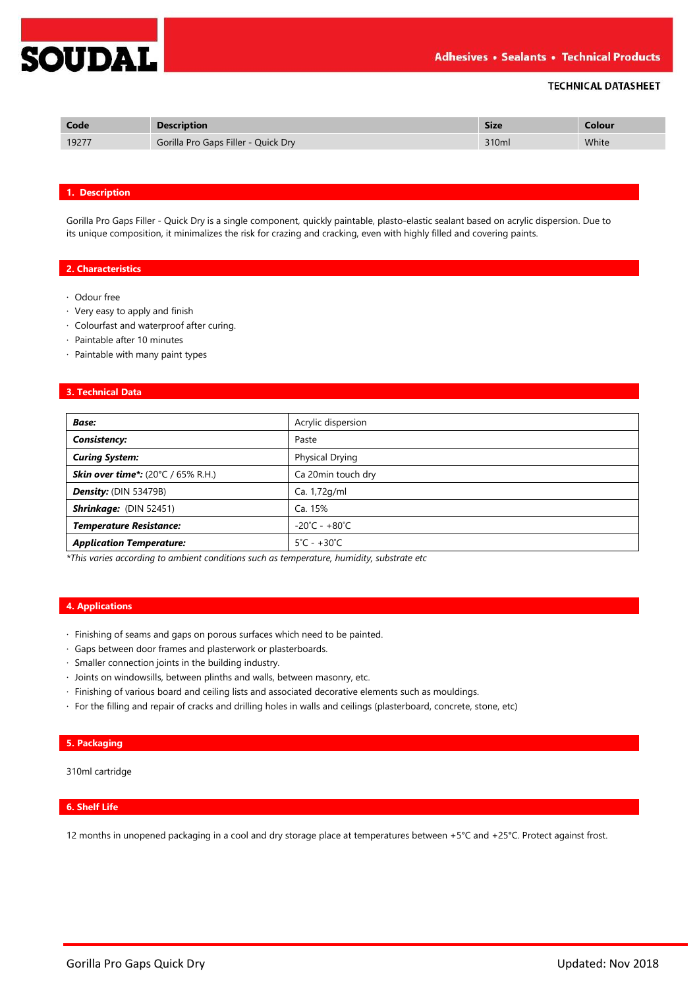

## **TECHNICAL DATASHEET**

| Code  | -                                        | <b>Size</b> | Iolour |
|-------|------------------------------------------|-------------|--------|
| 19277 | Gaps Filler - Quick Dry<br>Gorilla Pro G | 310ml       | White  |

## **1. Description**

Gorilla Pro Gaps Filler - Quick Dry is a single component, quickly paintable, plasto-elastic sealant based on acrylic dispersion. Due to its unique composition, it minimalizes the risk for crazing and cracking, even with highly filled and covering paints.

## **2. Characteristics**

- · Odour free
- · Very easy to apply and finish
- · Colourfast and waterproof after curing.
- · Paintable after 10 minutes
- · Paintable with many paint types

## **3. Technical Data**

| <b>Base:</b>                              | Acrylic dispersion                |
|-------------------------------------------|-----------------------------------|
| Consistency:                              | Paste                             |
| <b>Curing System:</b>                     | <b>Physical Drying</b>            |
| <b>Skin over time*:</b> (20°C / 65% R.H.) | Ca 20min touch dry                |
| Density: (DIN 53479B)                     | Ca. 1,72g/ml                      |
| Shrinkage: (DIN 52451)                    | Ca. 15%                           |
| <b>Temperature Resistance:</b>            | $-20^{\circ}$ C - $+80^{\circ}$ C |
| <b>Application Temperature:</b>           | $5^{\circ}$ C - +30 $^{\circ}$ C  |

*\*This varies according to ambient conditions such as temperature, humidity, substrate etc*

## **4. Applications**

- · Finishing of seams and gaps on porous surfaces which need to be painted.
- · Gaps between door frames and plasterwork or plasterboards.
- · Smaller connection joints in the building industry.
- · Joints on windowsills, between plinths and walls, between masonry, etc.
- · Finishing of various board and ceiling lists and associated decorative elements such as mouldings.
- · For the filling and repair of cracks and drilling holes in walls and ceilings (plasterboard, concrete, stone, etc)

## **5. Packaging**

310ml cartridge

## **6. Shelf Life**

12 months in unopened packaging in a cool and dry storage place at temperatures between +5°C and +25°C. Protect against frost.